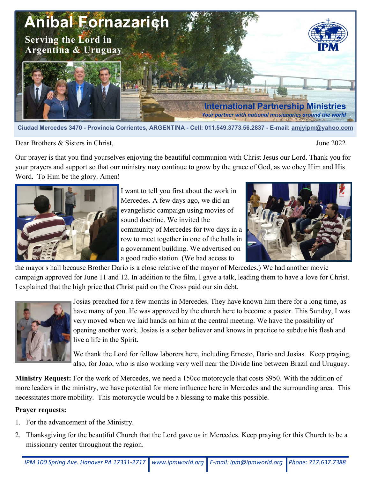

**Ciudad Mercedes 3470 - Provincia Corrientes, ARGENTINA - Cell: 011.549.3773.56.2837 - E-mail: [amjyipm@yahoo.com](mailto:amjyipm@yahoo.com)**

Dear Brothers & Sisters in Christ, June 2022

Our prayer is that you find yourselves enjoying the beautiful communion with Christ Jesus our Lord. Thank you for your prayers and support so that our ministry may continue to grow by the grace of God, as we obey Him and His Word. To Him be the glory. Amen!



I want to tell you first about the work in Mercedes. A few days ago, we did an evangelistic campaign using movies of sound doctrine. We invited the community of Mercedes for two days in a row to meet together in one of the halls in a government building. We advertised on a good radio station. (We had access to



the mayor's hall because Brother Dario is a close relative of the mayor of Mercedes.) We had another movie campaign approved for June 11 and 12. In addition to the film, I gave a talk, leading them to have a love for Christ. I explained that the high price that Christ paid on the Cross paid our sin debt.



Josias preached for a few months in Mercedes. They have known him there for a long time, as have many of you. He was approved by the church here to become a pastor. This Sunday, I was very moved when we laid hands on him at the central meeting. We have the possibility of opening another work. Josias is a sober believer and knows in practice to subdue his flesh and live a life in the Spirit.

We thank the Lord for fellow laborers here, including Ernesto, Dario and Josias. Keep praying, also, for Joao, who is also working very well near the Divide line between Brazil and Uruguay.

**Ministry Request:** For the work of Mercedes, we need a 150cc motorcycle that costs \$950. With the addition of more leaders in the ministry, we have potential for more influence here in Mercedes and the surrounding area. This necessitates more mobility. This motorcycle would be a blessing to make this possible.

## **Prayer requests:**

- 1. For the advancement of the Ministry.
- 2. Thanksgiving for the beautiful Church that the Lord gave us in Mercedes. Keep praying for this Church to be a missionary center throughout the region.